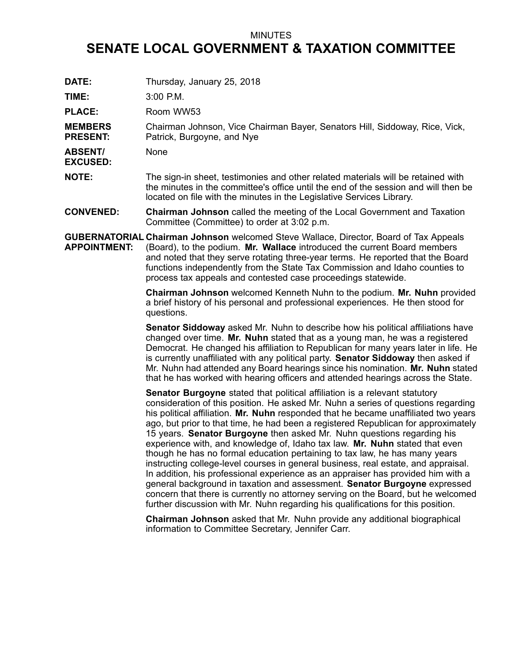## MINUTES

## **SENATE LOCAL GOVERNMENT & TAXATION COMMITTEE**

| DATE:                             | Thursday, January 25, 2018                                                                                                                                                                                                                                                                                                                                                                                  |
|-----------------------------------|-------------------------------------------------------------------------------------------------------------------------------------------------------------------------------------------------------------------------------------------------------------------------------------------------------------------------------------------------------------------------------------------------------------|
| TIME:                             | 3:00 P.M.                                                                                                                                                                                                                                                                                                                                                                                                   |
| <b>PLACE:</b>                     | Room WW53                                                                                                                                                                                                                                                                                                                                                                                                   |
| <b>MEMBERS</b><br><b>PRESENT:</b> | Chairman Johnson, Vice Chairman Bayer, Senators Hill, Siddoway, Rice, Vick,<br>Patrick, Burgoyne, and Nye                                                                                                                                                                                                                                                                                                   |
| <b>ABSENT/</b><br><b>EXCUSED:</b> | None                                                                                                                                                                                                                                                                                                                                                                                                        |
| <b>NOTE:</b>                      | The sign-in sheet, testimonies and other related materials will be retained with<br>the minutes in the committee's office until the end of the session and will then be<br>located on file with the minutes in the Legislative Services Library.                                                                                                                                                            |
| <b>CONVENED:</b>                  | <b>Chairman Johnson</b> called the meeting of the Local Government and Taxation<br>Committee (Committee) to order at 3:02 p.m.                                                                                                                                                                                                                                                                              |
| <b>APPOINTMENT:</b>               | <b>GUBERNATORIAL Chairman Johnson</b> welcomed Steve Wallace, Director, Board of Tax Appeals<br>(Board), to the podium. Mr. Wallace introduced the current Board members<br>and noted that they serve rotating three-year terms. He reported that the Board<br>functions independently from the State Tax Commission and Idaho counties to<br>process tax appeals and contested case proceedings statewide. |
|                                   | <b>Chairman Johnson</b> welcomed Kenneth Nuhn to the podium. Mr. Nuhn provided<br>a brief history of his personal and professional experiences. He then stood for<br>questions.                                                                                                                                                                                                                             |
|                                   | Canatar Ciddeway soked Mr. Nubn to describe how bis political officitions hove                                                                                                                                                                                                                                                                                                                              |

**Senator Siddoway** asked Mr. Nuhn to describe how his political affiliations have changed over time. **Mr. Nuhn** stated that as <sup>a</sup> young man, he was <sup>a</sup> registered Democrat. He changed his affiliation to Republican for many years later in life. He is currently unaffiliated with any political party. **Senator Siddoway** then asked if Mr. Nuhn had attended any Board hearings since his nomination. **Mr. Nuhn** stated that he has worked with hearing officers and attended hearings across the State.

**Senator Burgoyne** stated that political affiliation is <sup>a</sup> relevant statutory consideration of this position. He asked Mr. Nuhn <sup>a</sup> series of questions regarding his political affiliation. **Mr. Nuhn** responded that he became unaffiliated two years ago, but prior to that time, he had been <sup>a</sup> registered Republican for approximately 15 years. **Senator Burgoyne** then asked Mr. Nuhn questions regarding his experience with, and knowledge of, Idaho tax law. **Mr. Nuhn** stated that even though he has no formal education pertaining to tax law, he has many years instructing college-level courses in general business, real estate, and appraisal. In addition, his professional experience as an appraiser has provided him with <sup>a</sup> general background in taxation and assessment. **Senator Burgoyne** expressed concern that there is currently no attorney serving on the Board, but he welcomed further discussion with Mr. Nuhn regarding his qualifications for this position.

**Chairman Johnson** asked that Mr. Nuhn provide any additional biographical information to Committee Secretary, Jennifer Carr.